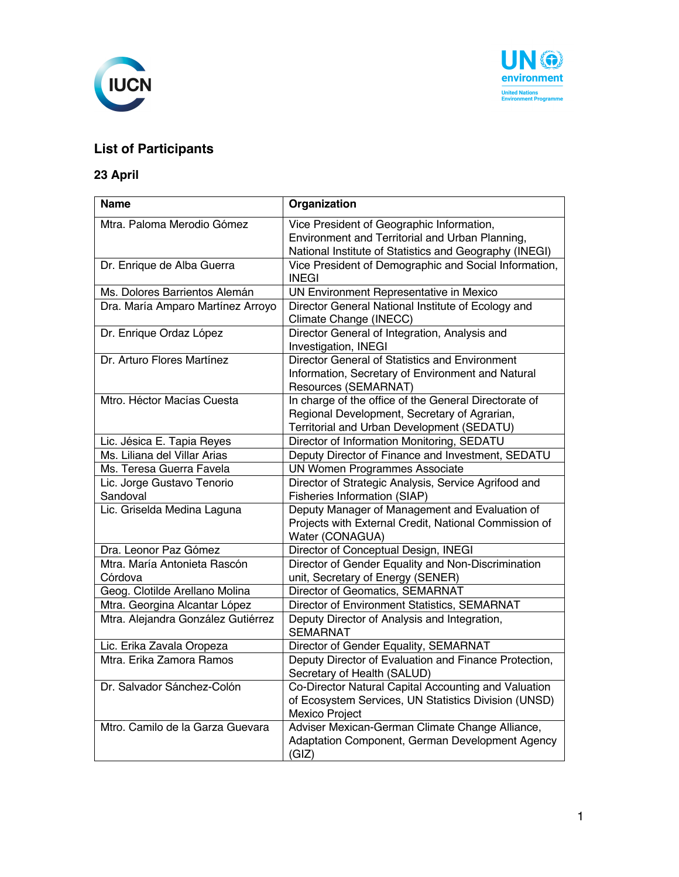



## **List of Participants**

## **23 April**

| <b>Name</b>                             | Organization                                                                                                                                           |
|-----------------------------------------|--------------------------------------------------------------------------------------------------------------------------------------------------------|
| Mtra. Paloma Merodio Gómez              | Vice President of Geographic Information,<br>Environment and Territorial and Urban Planning,<br>National Institute of Statistics and Geography (INEGI) |
| Dr. Enrique de Alba Guerra              | Vice President of Demographic and Social Information,<br><b>INEGI</b>                                                                                  |
| Ms. Dolores Barrientos Alemán           | UN Environment Representative in Mexico                                                                                                                |
| Dra. María Amparo Martínez Arroyo       | Director General National Institute of Ecology and<br>Climate Change (INECC)                                                                           |
| Dr. Enrique Ordaz López                 | Director General of Integration, Analysis and<br>Investigation, INEGI                                                                                  |
| Dr. Arturo Flores Martínez              | Director General of Statistics and Environment<br>Information, Secretary of Environment and Natural<br>Resources (SEMARNAT)                            |
| Mtro. Héctor Macías Cuesta              | In charge of the office of the General Directorate of<br>Regional Development, Secretary of Agrarian,<br>Territorial and Urban Development (SEDATU)    |
| Lic. Jésica E. Tapia Reyes              | Director of Information Monitoring, SEDATU                                                                                                             |
| Ms. Liliana del Villar Arias            | Deputy Director of Finance and Investment, SEDATU                                                                                                      |
| Ms. Teresa Guerra Favela                | <b>UN Women Programmes Associate</b>                                                                                                                   |
| Lic. Jorge Gustavo Tenorio<br>Sandoval  | Director of Strategic Analysis, Service Agrifood and<br>Fisheries Information (SIAP)                                                                   |
| Lic. Griselda Medina Laguna             | Deputy Manager of Management and Evaluation of<br>Projects with External Credit, National Commission of<br>Water (CONAGUA)                             |
| Dra. Leonor Paz Gómez                   | Director of Conceptual Design, INEGI                                                                                                                   |
| Mtra. María Antonieta Rascón<br>Córdova | Director of Gender Equality and Non-Discrimination<br>unit, Secretary of Energy (SENER)                                                                |
| Geog. Clotilde Arellano Molina          | Director of Geomatics, SEMARNAT                                                                                                                        |
| Mtra. Georgina Alcantar López           | Director of Environment Statistics, SEMARNAT                                                                                                           |
| Mtra. Alejandra González Gutiérrez      | Deputy Director of Analysis and Integration,<br><b>SEMARNAT</b>                                                                                        |
| Lic. Erika Zavala Oropeza               | Director of Gender Equality, SEMARNAT                                                                                                                  |
| Mtra. Erika Zamora Ramos                | Deputy Director of Evaluation and Finance Protection,<br>Secretary of Health (SALUD)                                                                   |
| Dr. Salvador Sánchez-Colón              | Co-Director Natural Capital Accounting and Valuation<br>of Ecosystem Services, UN Statistics Division (UNSD)<br>Mexico Project                         |
| Mtro. Camilo de la Garza Guevara        | Adviser Mexican-German Climate Change Alliance,<br>Adaptation Component, German Development Agency<br>(GIZ)                                            |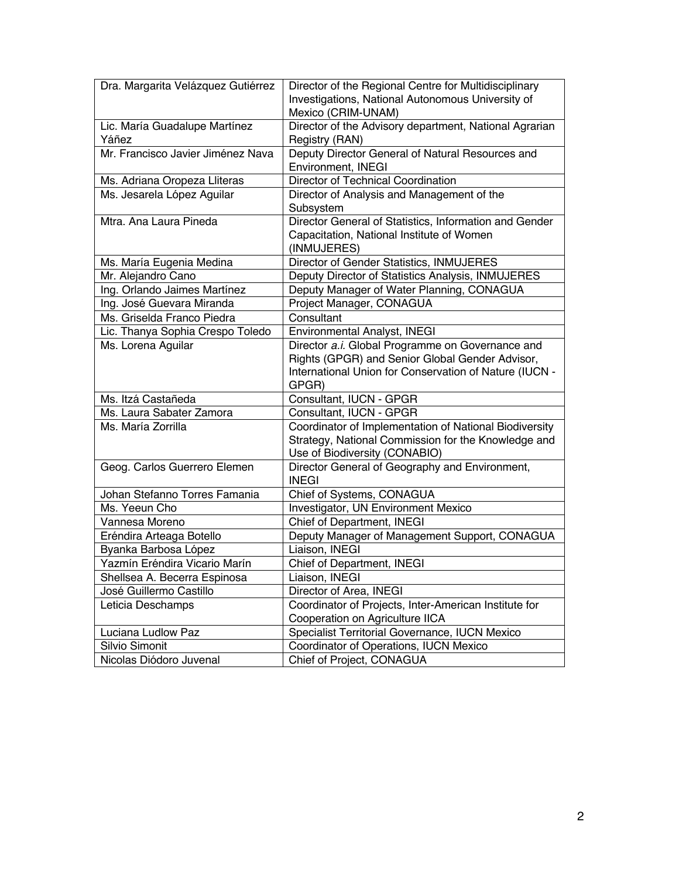| Dra. Margarita Velázquez Gutiérrez | Director of the Regional Centre for Multidisciplinary  |
|------------------------------------|--------------------------------------------------------|
|                                    | Investigations, National Autonomous University of      |
|                                    | Mexico (CRIM-UNAM)                                     |
| Lic. María Guadalupe Martínez      | Director of the Advisory department, National Agrarian |
| Yáñez                              | Registry (RAN)                                         |
| Mr. Francisco Javier Jiménez Nava  | Deputy Director General of Natural Resources and       |
|                                    | Environment, INEGI                                     |
| Ms. Adriana Oropeza Lliteras       | Director of Technical Coordination                     |
| Ms. Jesarela López Aguilar         | Director of Analysis and Management of the             |
|                                    | Subsystem                                              |
| Mtra. Ana Laura Pineda             | Director General of Statistics, Information and Gender |
|                                    | Capacitation, National Institute of Women              |
|                                    | (INMUJERES)                                            |
| Ms. María Eugenia Medina           | Director of Gender Statistics, INMUJERES               |
| Mr. Alejandro Cano                 | Deputy Director of Statistics Analysis, INMUJERES      |
| Ing. Orlando Jaimes Martínez       | Deputy Manager of Water Planning, CONAGUA              |
| Ing. José Guevara Miranda          | Project Manager, CONAGUA                               |
| Ms. Griselda Franco Piedra         | Consultant                                             |
| Lic. Thanya Sophia Crespo Toledo   | Environmental Analyst, INEGI                           |
| Ms. Lorena Aguilar                 | Director a.i. Global Programme on Governance and       |
|                                    | Rights (GPGR) and Senior Global Gender Advisor,        |
|                                    | International Union for Conservation of Nature (IUCN - |
|                                    | GPGR)                                                  |
| Ms. Itzá Castañeda                 | Consultant, IUCN - GPGR                                |
| Ms. Laura Sabater Zamora           | Consultant, IUCN - GPGR                                |
| Ms. María Zorrilla                 | Coordinator of Implementation of National Biodiversity |
|                                    | Strategy, National Commission for the Knowledge and    |
|                                    | Use of Biodiversity (CONABIO)                          |
| Geog. Carlos Guerrero Elemen       | Director General of Geography and Environment,         |
|                                    | <b>INEGI</b>                                           |
| Johan Stefanno Torres Famania      | Chief of Systems, CONAGUA                              |
| Ms. Yeeun Cho                      | Investigator, UN Environment Mexico                    |
| Vannesa Moreno                     | Chief of Department, INEGI                             |
| Eréndira Arteaga Botello           | Deputy Manager of Management Support, CONAGUA          |
| Byanka Barbosa López               | Liaison, INEGI                                         |
| Yazmín Eréndira Vicario Marín      | Chief of Department, INEGI                             |
| Shellsea A. Becerra Espinosa       | Liaison, INEGI                                         |
| José Guillermo Castillo            | Director of Area, INEGI                                |
| Leticia Deschamps                  | Coordinator of Projects, Inter-American Institute for  |
|                                    | Cooperation on Agriculture IICA                        |
| Luciana Ludlow Paz                 | Specialist Territorial Governance, IUCN Mexico         |
| Silvio Simonit                     | Coordinator of Operations, IUCN Mexico                 |
| Nicolas Diódoro Juvenal            | Chief of Project, CONAGUA                              |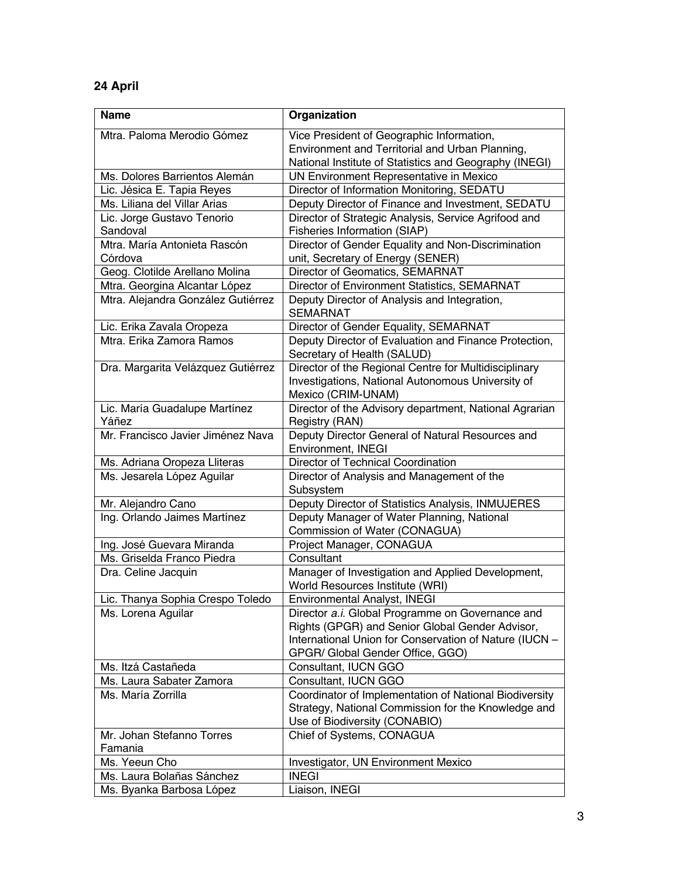## **24 April**

| Name                               | Organization                                                                         |
|------------------------------------|--------------------------------------------------------------------------------------|
| Mtra. Paloma Merodio Gómez         | Vice President of Geographic Information,                                            |
|                                    | Environment and Territorial and Urban Planning,                                      |
|                                    | National Institute of Statistics and Geography (INEGI)                               |
| Ms. Dolores Barrientos Alemán      | UN Environment Representative in Mexico                                              |
| Lic. Jésica E. Tapia Reyes         | Director of Information Monitoring, SEDATU                                           |
| Ms. Liliana del Villar Arias       | Deputy Director of Finance and Investment, SEDATU                                    |
| Lic. Jorge Gustavo Tenorio         | Director of Strategic Analysis, Service Agrifood and                                 |
| Sandoval                           | Fisheries Information (SIAP)                                                         |
| Mtra. María Antonieta Rascón       | Director of Gender Equality and Non-Discrimination                                   |
| Córdova                            | unit, Secretary of Energy (SENER)                                                    |
| Geog. Clotilde Arellano Molina     | Director of Geomatics, SEMARNAT                                                      |
| Mtra. Georgina Alcantar López      | Director of Environment Statistics, SEMARNAT                                         |
| Mtra. Alejandra González Gutiérrez | Deputy Director of Analysis and Integration,<br><b>SEMARNAT</b>                      |
| Lic. Erika Zavala Oropeza          | Director of Gender Equality, SEMARNAT                                                |
| Mtra. Erika Zamora Ramos           | Deputy Director of Evaluation and Finance Protection,<br>Secretary of Health (SALUD) |
| Dra. Margarita Velázquez Gutiérrez | Director of the Regional Centre for Multidisciplinary                                |
|                                    | Investigations, National Autonomous University of<br>Mexico (CRIM-UNAM)              |
| Lic. María Guadalupe Martínez      | Director of the Advisory department, National Agrarian                               |
| Yáñez                              | Registry (RAN)                                                                       |
| Mr. Francisco Javier Jiménez Nava  | Deputy Director General of Natural Resources and<br>Environment, INEGI               |
| Ms. Adriana Oropeza Lliteras       | Director of Technical Coordination                                                   |
| Ms. Jesarela López Aguilar         | Director of Analysis and Management of the                                           |
|                                    | Subsystem                                                                            |
| Mr. Alejandro Cano                 | Deputy Director of Statistics Analysis, INMUJERES                                    |
| Ing. Orlando Jaimes Martínez       | Deputy Manager of Water Planning, National                                           |
|                                    | Commission of Water (CONAGUA)                                                        |
| Ing. José Guevara Miranda          | Project Manager, CONAGUA                                                             |
| Ms. Griselda Franco Piedra         | Consultant                                                                           |
| Dra. Celine Jacquin                | Manager of Investigation and Applied Development,                                    |
|                                    | World Resources Institute (WRI)                                                      |
| Lic. Thanya Sophia Crespo Toledo   | Environmental Analyst, INEGI                                                         |
| Ms. Lorena Aguilar                 | Director a.i. Global Programme on Governance and                                     |
|                                    | Rights (GPGR) and Senior Global Gender Advisor,                                      |
|                                    | International Union for Conservation of Nature (IUCN -                               |
|                                    | GPGR/ Global Gender Office, GGO)                                                     |
| Ms. Itzá Castañeda                 | Consultant, IUCN GGO                                                                 |
| Ms. Laura Sabater Zamora           | Consultant, IUCN GGO                                                                 |
| Ms. María Zorrilla                 | Coordinator of Implementation of National Biodiversity                               |
|                                    | Strategy, National Commission for the Knowledge and                                  |
|                                    | Use of Biodiversity (CONABIO)                                                        |
| Mr. Johan Stefanno Torres          | Chief of Systems, CONAGUA                                                            |
| Famania                            |                                                                                      |
| Ms. Yeeun Cho                      | Investigator, UN Environment Mexico                                                  |
| Ms. Laura Bolañas Sánchez          | <b>INEGI</b>                                                                         |
| Ms. Byanka Barbosa López           | Liaison, INEGI                                                                       |